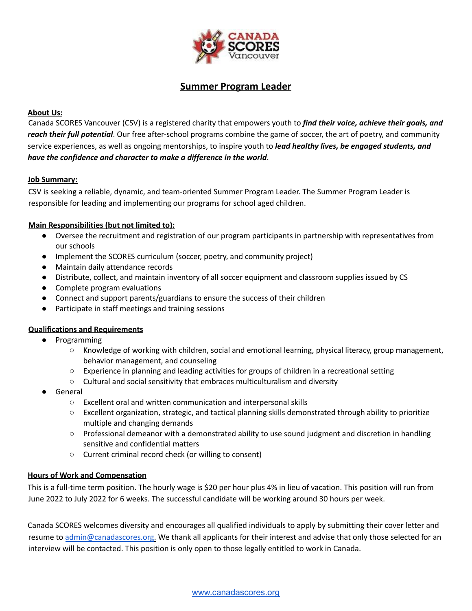

# **Summer Program Leader**

## **About Us:**

Canada SCORES Vancouver (CSV) is a registered charity that empowers youth to *find their voice, achieve their goals, and reach their full potential*. Our free after-school programs combine the game of soccer, the art of poetry, and community service experiences, as well as ongoing mentorships, to inspire youth to *lead healthy lives, be engaged students, and have the confidence and character to make a difference in the world*.

#### **Job Summary:**

CSV is seeking a reliable, dynamic, and team-oriented Summer Program Leader. The Summer Program Leader is responsible for leading and implementing our programs for school aged children.

#### **Main Responsibilities (but not limited to):**

- Oversee the recruitment and registration of our program participants in partnership with representatives from our schools
- Implement the SCORES curriculum (soccer, poetry, and community project)
- Maintain daily attendance records
- Distribute, collect, and maintain inventory of all soccer equipment and classroom supplies issued by CS
- Complete program evaluations
- Connect and support parents/guardians to ensure the success of their children
- Participate in staff meetings and training sessions

#### **Qualifications and Requirements**

- Programming
	- Knowledge of working with children, social and emotional learning, physical literacy, group management, behavior management, and counseling
	- Experience in planning and leading activities for groups of children in a recreational setting
	- Cultural and social sensitivity that embraces multiculturalism and diversity
- General
	- Excellent oral and written communication and interpersonal skills
	- Excellent organization, strategic, and tactical planning skills demonstrated through ability to prioritize multiple and changing demands
	- Professional demeanor with a demonstrated ability to use sound judgment and discretion in handling sensitive and confidential matters
	- Current criminal record check (or willing to consent)

## **Hours of Work and Compensation**

This is a full-time term position. The hourly wage is \$20 per hour plus 4% in lieu of vacation. This position will run from June 2022 to July 2022 for 6 weeks. The successful candidate will be working around 30 hours per week.

Canada SCORES welcomes diversity and encourages all qualified individuals to apply by submitting their cover letter and resume to admin@canadascores.org. We thank all applicants for their interest and advise that only those selected for an interview will be contacted. This position is only open to those legally entitled to work in Canada.